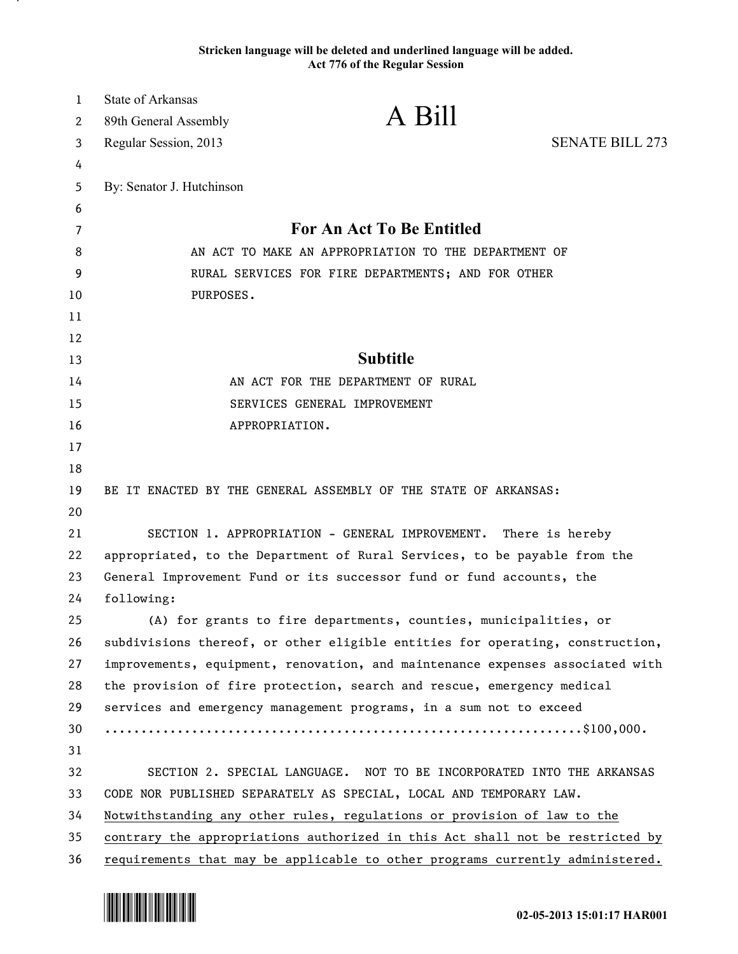## **Stricken language will be deleted and underlined language will be added. Act 776 of the Regular Session**

| $\mathbf{1}$ | <b>State of Arkansas</b>                                                  |                                                                               |                        |
|--------------|---------------------------------------------------------------------------|-------------------------------------------------------------------------------|------------------------|
| 2            | 89th General Assembly                                                     | A Bill                                                                        |                        |
| 3            | Regular Session, 2013                                                     |                                                                               | <b>SENATE BILL 273</b> |
| 4            |                                                                           |                                                                               |                        |
| 5            | By: Senator J. Hutchinson                                                 |                                                                               |                        |
| 6            |                                                                           |                                                                               |                        |
| 7            | <b>For An Act To Be Entitled</b>                                          |                                                                               |                        |
| 8            | AN ACT TO MAKE AN APPROPRIATION TO THE DEPARTMENT OF                      |                                                                               |                        |
| 9            | RURAL SERVICES FOR FIRE DEPARTMENTS; AND FOR OTHER<br>PURPOSES.           |                                                                               |                        |
| 10           |                                                                           |                                                                               |                        |
| 11<br>12     |                                                                           |                                                                               |                        |
| 13           |                                                                           | <b>Subtitle</b>                                                               |                        |
| 14           |                                                                           | AN ACT FOR THE DEPARTMENT OF RURAL                                            |                        |
| 15           |                                                                           | SERVICES GENERAL IMPROVEMENT                                                  |                        |
| 16           |                                                                           | APPROPRIATION.                                                                |                        |
| 17           |                                                                           |                                                                               |                        |
| 18           |                                                                           |                                                                               |                        |
| 19           |                                                                           | BE IT ENACTED BY THE GENERAL ASSEMBLY OF THE STATE OF ARKANSAS:               |                        |
| 20           |                                                                           |                                                                               |                        |
| 21           |                                                                           | SECTION 1. APPROPRIATION - GENERAL IMPROVEMENT. There is hereby               |                        |
| 22           | appropriated, to the Department of Rural Services, to be payable from the |                                                                               |                        |
| 23           | General Improvement Fund or its successor fund or fund accounts, the      |                                                                               |                        |
| 24           | following:                                                                |                                                                               |                        |
| 25           |                                                                           | (A) for grants to fire departments, counties, municipalities, or              |                        |
| 26           |                                                                           | subdivisions thereof, or other eligible entities for operating, construction, |                        |
| 27           |                                                                           | improvements, equipment, renovation, and maintenance expenses associated with |                        |
| 28           |                                                                           | the provision of fire protection, search and rescue, emergency medical        |                        |
| 29           |                                                                           | services and emergency management programs, in a sum not to exceed            |                        |
| 30           |                                                                           |                                                                               |                        |
| 31           |                                                                           |                                                                               |                        |
| 32           |                                                                           | SECTION 2. SPECIAL LANGUAGE. NOT TO BE INCORPORATED INTO THE ARKANSAS         |                        |
| 33           |                                                                           | CODE NOR PUBLISHED SEPARATELY AS SPECIAL, LOCAL AND TEMPORARY LAW.            |                        |
| 34           |                                                                           | Notwithstanding any other rules, regulations or provision of law to the       |                        |
| 35           |                                                                           | contrary the appropriations authorized in this Act shall not be restricted by |                        |
| 36           |                                                                           | requirements that may be applicable to other programs currently administered. |                        |



.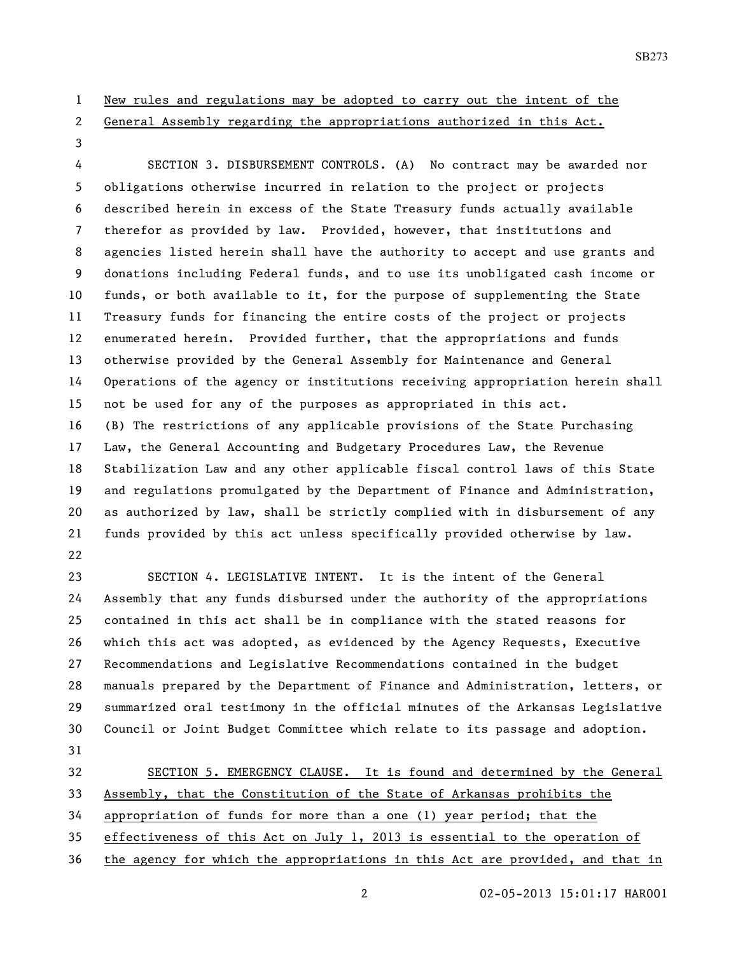## New rules and regulations may be adopted to carry out the intent of the

General Assembly regarding the appropriations authorized in this Act.

 SECTION 3. DISBURSEMENT CONTROLS. (A) No contract may be awarded nor obligations otherwise incurred in relation to the project or projects described herein in excess of the State Treasury funds actually available therefor as provided by law. Provided, however, that institutions and agencies listed herein shall have the authority to accept and use grants and donations including Federal funds, and to use its unobligated cash income or funds, or both available to it, for the purpose of supplementing the State Treasury funds for financing the entire costs of the project or projects enumerated herein. Provided further, that the appropriations and funds otherwise provided by the General Assembly for Maintenance and General Operations of the agency or institutions receiving appropriation herein shall not be used for any of the purposes as appropriated in this act. (B) The restrictions of any applicable provisions of the State Purchasing Law, the General Accounting and Budgetary Procedures Law, the Revenue Stabilization Law and any other applicable fiscal control laws of this State and regulations promulgated by the Department of Finance and Administration, as authorized by law, shall be strictly complied with in disbursement of any funds provided by this act unless specifically provided otherwise by law. 

 SECTION 4. LEGISLATIVE INTENT. It is the intent of the General Assembly that any funds disbursed under the authority of the appropriations contained in this act shall be in compliance with the stated reasons for which this act was adopted, as evidenced by the Agency Requests, Executive Recommendations and Legislative Recommendations contained in the budget manuals prepared by the Department of Finance and Administration, letters, or summarized oral testimony in the official minutes of the Arkansas Legislative Council or Joint Budget Committee which relate to its passage and adoption. 

32 SECTION 5. EMERGENCY CLAUSE. It is found and determined by the General Assembly, that the Constitution of the State of Arkansas prohibits the appropriation of funds for more than a one (1) year period; that the effectiveness of this Act on July 1, 2013 is essential to the operation of

the agency for which the appropriations in this Act are provided, and that in